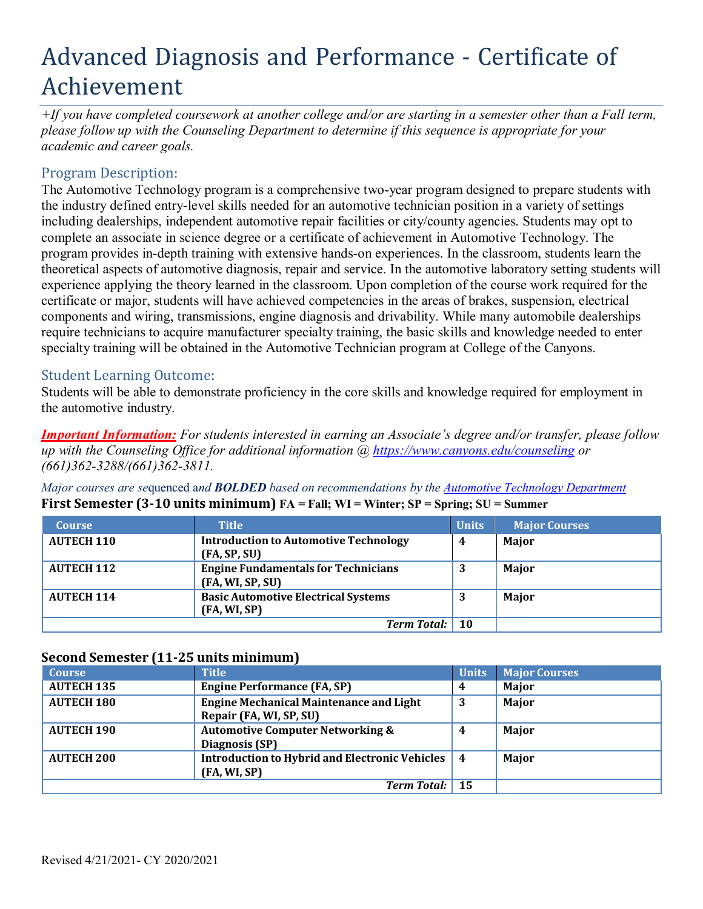# Advanced Diagnosis and Performance - Certificate of Achievement

*+If you have completed coursework at another college and/or are starting in a semester other than a Fall term, please follow up with the Counseling Department to determine if this sequence is appropriate for your academic and career goals.*

## Program Description:

The Automotive Technology program is a comprehensive two-year program designed to prepare students with the industry defined entry-level skills needed for an automotive technician position in a variety of settings including dealerships, independent automotive repair facilities or city/county agencies. Students may opt to complete an associate in science degree or a certificate of achievement in Automotive Technology. The program provides in-depth training with extensive hands-on experiences. In the classroom, students learn the theoretical aspects of automotive diagnosis, repair and service. In the automotive laboratory setting students will experience applying the theory learned in the classroom. Upon completion of the course work required for the certificate or major, students will have achieved competencies in the areas of brakes, suspension, electrical components and wiring, transmissions, engine diagnosis and drivability. While many automobile dealerships require technicians to acquire manufacturer specialty training, the basic skills and knowledge needed to enter specialty training will be obtained in the Automotive Technician program at College of the Canyons.

### Student Learning Outcome:

Students will be able to demonstrate proficiency in the core skills and knowledge required for employment in the automotive industry.

*Important Information: For students interested in earning an Associate's degree and/or transfer, please follow up with the Counseling Office for additional information @ https:/[/www.canyons.edu/counseling](http://www.canyons.edu/counseling) or (661)362-3288/(661)362-3811.*

*Major courses are se*quenced a*nd BOLDED based on recommendations by the Automotive Technology Department* **First Semester (3-10 units minimum) FA = Fall; WI = Winter; SP = Spring; SU = Summer**

| <b>Course</b>      | <b>Title</b>                                                   | Units     | <b>Major Courses</b> |
|--------------------|----------------------------------------------------------------|-----------|----------------------|
| <b>AUTECH 110</b>  | <b>Introduction to Automotive Technology</b><br>(FA, SP, SU)   | 4         | Major                |
| <b>AUTECH 112</b>  | <b>Engine Fundamentals for Technicians</b><br>(FA, WI, SP, SU) | 3         | Major                |
| <b>AUTECH 114</b>  | <b>Basic Automotive Electrical Systems</b><br>(FA, WI, SP)     | 3         | Major                |
| <b>Term Total:</b> |                                                                | <b>10</b> |                      |

#### **Second Semester (11-25 units minimum)**

| <b>Course</b>      | <b>Title</b>                                                              | <b>Units</b> | <b>Major Courses</b> |
|--------------------|---------------------------------------------------------------------------|--------------|----------------------|
| <b>AUTECH 135</b>  | <b>Engine Performance (FA, SP)</b>                                        | 4            | Major                |
| <b>AUTECH 180</b>  | <b>Engine Mechanical Maintenance and Light</b><br>Repair (FA, WI, SP, SU) | 3            | Major                |
| <b>AUTECH 190</b>  | <b>Automotive Computer Networking &amp;</b><br>Diagnosis (SP)             | 4            | Major                |
| <b>AUTECH 200</b>  | Introduction to Hybrid and Electronic Vehicles   4<br>(FA, WI, SP)        |              | Major                |
| <b>Term Total:</b> |                                                                           | 15           |                      |